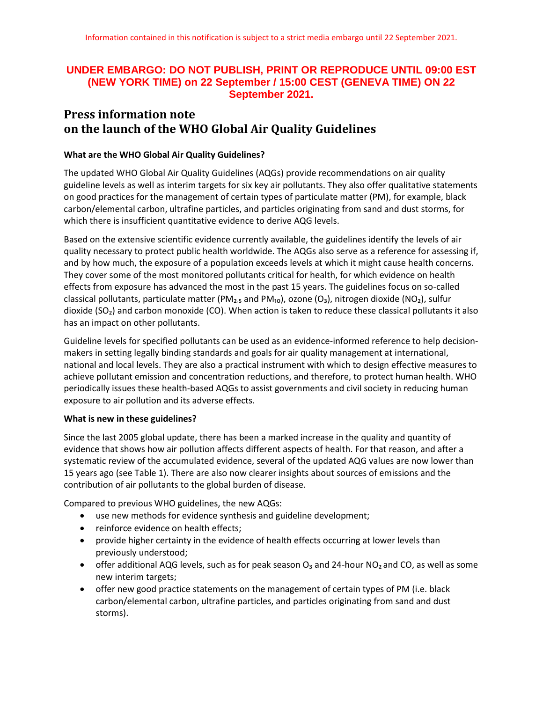# **UNDER EMBARGO: DO NOT PUBLISH, PRINT OR REPRODUCE UNTIL 09:00 EST (NEW YORK TIME) on 22 September / 15:00 CEST (GENEVA TIME) ON 22 September 2021.**

# **Press information note on the launch of the WHO Global Air Quality Guidelines**

### **What are the WHO Global Air Quality Guidelines?**

The updated WHO Global Air Quality Guidelines (AQGs) provide recommendations on air quality guideline levels as well as interim targets for six key air pollutants. They also offer qualitative statements on good practices for the management of certain types of particulate matter (PM), for example, black carbon/elemental carbon, ultrafine particles, and particles originating from sand and dust storms, for which there is insufficient quantitative evidence to derive AQG levels.

Based on the extensive scientific evidence currently available, the guidelines identify the levels of air quality necessary to protect public health worldwide. The AQGs also serve as a reference for assessing if, and by how much, the exposure of a population exceeds levels at which it might cause health concerns. They cover some of the most monitored pollutants critical for health, for which evidence on health effects from exposure has advanced the most in the past 15 years. The guidelines focus on so-called classical pollutants, particulate matter (PM<sub>2.5</sub> and PM<sub>10</sub>), ozone (O<sub>3</sub>), nitrogen dioxide (NO<sub>2</sub>), sulfur dioxide (SO₂) and carbon monoxide (CO). When action is taken to reduce these classical pollutants it also has an impact on other pollutants.

Guideline levels for specified pollutants can be used as an evidence-informed reference to help decisionmakers in setting legally binding standards and goals for air quality management at international, national and local levels. They are also a practical instrument with which to design effective measures to achieve pollutant emission and concentration reductions, and therefore, to protect human health. WHO periodically issues these health-based AQGs to assist governments and civil society in reducing human exposure to air pollution and its adverse effects.

### **What is new in these guidelines?**

Since the last 2005 global update, there has been a marked increase in the quality and quantity of evidence that shows how air pollution affects different aspects of health. For that reason, and after a systematic review of the accumulated evidence, several of the updated AQG values are now lower than 15 years ago (see Table 1). There are also now clearer insights about sources of emissions and the contribution of air pollutants to the global burden of disease.

Compared to previous WHO guidelines, the new AQGs:

- use new methods for evidence synthesis and guideline development;
- reinforce evidence on health effects;
- provide higher certainty in the evidence of health effects occurring at lower levels than previously understood;
- offer additional AQG levels, such as for peak season  $O_3$  and 24-hour NO<sub>2</sub> and CO, as well as some new interim targets;
- offer new good practice statements on the management of certain types of PM (i.e. black carbon/elemental carbon, ultrafine particles, and particles originating from sand and dust storms).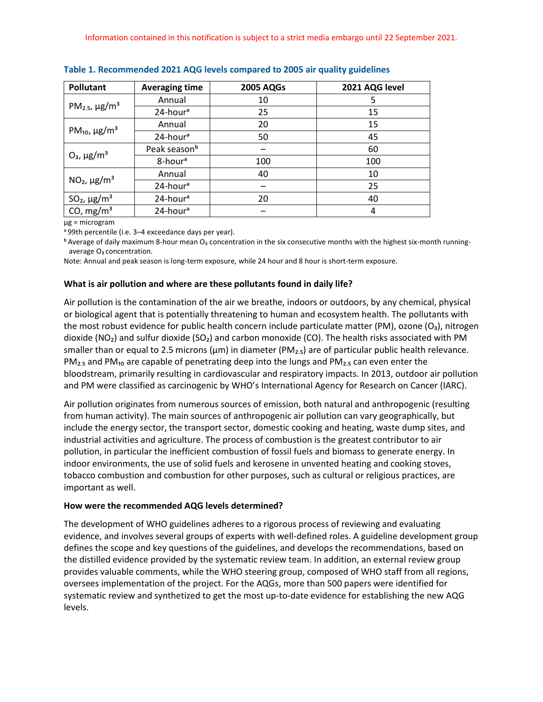| <b>Pollutant</b>                           | <b>Averaging time</b>    | <b>2005 AQGs</b> | 2021 AQG level |
|--------------------------------------------|--------------------------|------------------|----------------|
| PM <sub>2.5</sub> , $\mu$ g/m <sup>3</sup> | Annual                   | 10               | 5              |
|                                            | 24-hour <sup>a</sup>     | 25               | 15             |
| PM <sub>10</sub> , $\mu$ g/m <sup>3</sup>  | Annual                   | 20               | 15             |
|                                            | 24-hour <sup>a</sup>     | 50               | 45             |
| $O_3$ , $\mu$ g/m <sup>3</sup>             | Peak season <sup>b</sup> |                  | 60             |
|                                            | 8-hour <sup>a</sup>      | 100              | 100            |
| $NO2, \mu g/m3$                            | Annual                   | 40               | 10             |
|                                            | 24-hour <sup>a</sup>     |                  | 25             |
| $SO2$ , $\mu$ g/m <sup>3</sup>             | 24-hour <sup>a</sup>     | 20               | 40             |
| CO, $mg/m3$                                | 24-hour <sup>a</sup>     |                  | 4              |

**Table 1. Recommended 2021 AQG levels compared to 2005 air quality guidelines**

µg = microgram

ᵃ 99th percentile (i.e. 3–4 exceedance days per year).

 $<sup>b</sup>$  Average of daily maximum 8-hour mean O<sub>3</sub> concentration in the six consecutive months with the highest six-month running-</sup> average O<sub>3</sub> concentration.

Note: Annual and peak season is long-term exposure, while 24 hour and 8 hour is short-term exposure.

### **What is air pollution and where are these pollutants found in daily life?**

Air pollution is the contamination of the air we breathe, indoors or outdoors, by any chemical, physical or biological agent that is potentially threatening to human and ecosystem health. The pollutants with the most robust evidence for public health concern include particulate matter (PM), ozone (O₃), nitrogen dioxide (NO<sub>2</sub>) and sulfur dioxide (SO<sub>2</sub>) and carbon monoxide (CO). The health risks associated with PM smaller than or equal to 2.5 microns ( $\mu$ m) in diameter (PM<sub>2.5</sub>) are of particular public health relevance.  $PM<sub>2.5</sub>$  and PM<sub>10</sub> are capable of penetrating deep into the lungs and PM<sub>2.5</sub> can even enter the bloodstream, primarily resulting in cardiovascular and respiratory impacts. In 2013, outdoor air pollution and PM were classified as carcinogenic by WHO's International Agency for Research on Cancer (IARC).

Air pollution originates from numerous sources of emission, both natural and anthropogenic (resulting from human activity). The main sources of anthropogenic air pollution can vary geographically, but include the energy sector, the transport sector, domestic cooking and heating, waste dump sites, and industrial activities and agriculture. The process of combustion is the greatest contributor to air pollution, in particular the inefficient combustion of fossil fuels and biomass to generate energy. In indoor environments, the use of solid fuels and kerosene in unvented heating and cooking stoves, tobacco combustion and combustion for other purposes, such as cultural or religious practices, are important as well.

### **How were the recommended AQG levels determined?**

The development of WHO guidelines adheres to a rigorous process of reviewing and evaluating evidence, and involves several groups of experts with well-defined roles. A guideline development group defines the scope and key questions of the guidelines, and develops the recommendations, based on the distilled evidence provided by the systematic review team. In addition, an external review group provides valuable comments, while the WHO steering group, composed of WHO staff from all regions, oversees implementation of the project. For the AQGs, more than 500 papers were identified for systematic review and synthetized to get the most up-to-date evidence for establishing the new AQG levels.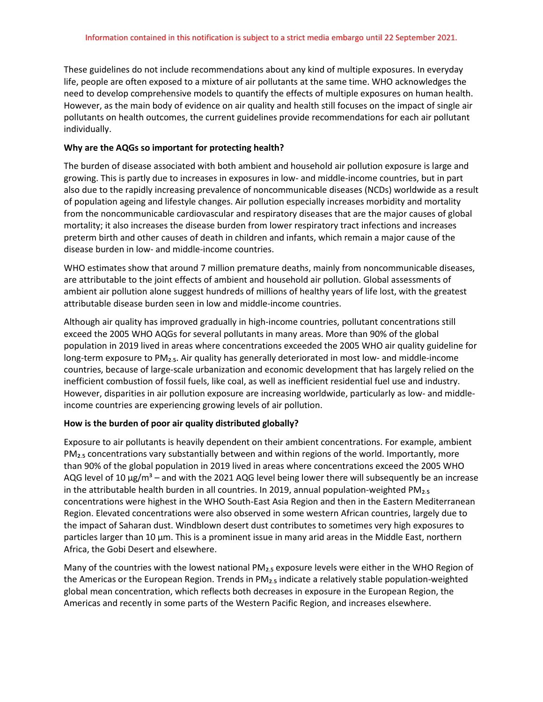These guidelines do not include recommendations about any kind of multiple exposures. In everyday life, people are often exposed to a mixture of air pollutants at the same time. WHO acknowledges the need to develop comprehensive models to quantify the effects of multiple exposures on human health. However, as the main body of evidence on air quality and health still focuses on the impact of single air pollutants on health outcomes, the current guidelines provide recommendations for each air pollutant individually.

# **Why are the AQGs so important for protecting health?**

The burden of disease associated with both ambient and household air pollution exposure is large and growing. This is partly due to increases in exposures in low- and middle-income countries, but in part also due to the rapidly increasing prevalence of noncommunicable diseases (NCDs) worldwide as a result of population ageing and lifestyle changes. Air pollution especially increases morbidity and mortality from the noncommunicable cardiovascular and respiratory diseases that are the major causes of global mortality; it also increases the disease burden from lower respiratory tract infections and increases preterm birth and other causes of death in children and infants, which remain a major cause of the disease burden in low- and middle-income countries.

WHO estimates show that around 7 million premature deaths, mainly from noncommunicable diseases, are attributable to the joint effects of ambient and household air pollution. Global assessments of ambient air pollution alone suggest hundreds of millions of healthy years of life lost, with the greatest attributable disease burden seen in low and middle-income countries.

Although air quality has improved gradually in high-income countries, pollutant concentrations still exceed the 2005 WHO AQGs for several pollutants in many areas. More than 90% of the global population in 2019 lived in areas where concentrations exceeded the 2005 WHO air quality guideline for long-term exposure to PM<sub>2.5</sub>. Air quality has generally deteriorated in most low- and middle-income countries, because of large-scale urbanization and economic development that has largely relied on the inefficient combustion of fossil fuels, like coal, as well as inefficient residential fuel use and industry. However, disparities in air pollution exposure are increasing worldwide, particularly as low- and middleincome countries are experiencing growing levels of air pollution.

# **How is the burden of poor air quality distributed globally?**

Exposure to air pollutants is heavily dependent on their ambient concentrations. For example, ambient  $PM<sub>2.5</sub>$  concentrations vary substantially between and within regions of the world. Importantly, more than 90% of the global population in 2019 lived in areas where concentrations exceed the 2005 WHO AQG level of 10  $\mu$ g/m<sup>3</sup> – and with the 2021 AQG level being lower there will subsequently be an increase in the attributable health burden in all countries. In 2019, annual population-weighted  $PM<sub>2.5</sub>$ concentrations were highest in the WHO South-East Asia Region and then in the Eastern Mediterranean Region. Elevated concentrations were also observed in some western African countries, largely due to the impact of Saharan dust. Windblown desert dust contributes to sometimes very high exposures to particles larger than 10 µm. This is a prominent issue in many arid areas in the Middle East, northern Africa, the Gobi Desert and elsewhere.

Many of the countries with the lowest national PM<sub>2.5</sub> exposure levels were either in the WHO Region of the Americas or the European Region. Trends in  $PM<sub>2.5</sub>$  indicate a relatively stable population-weighted global mean concentration, which reflects both decreases in exposure in the European Region, the Americas and recently in some parts of the Western Pacific Region, and increases elsewhere.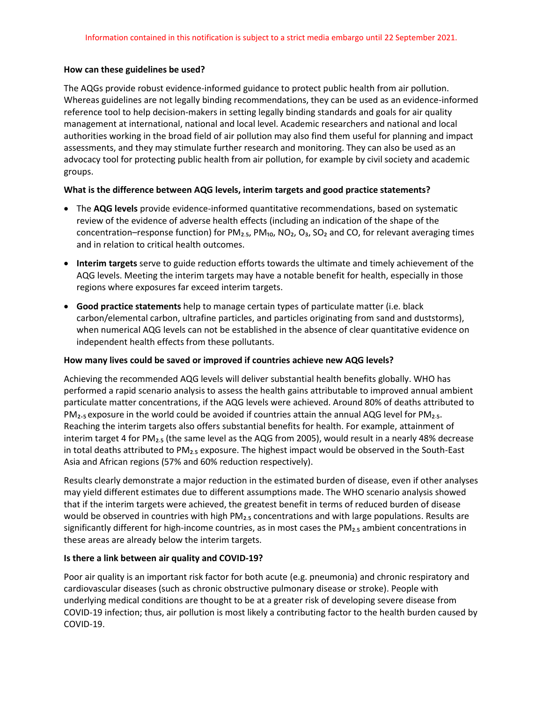### **How can these guidelines be used?**

The AQGs provide robust evidence-informed guidance to protect public health from air pollution. Whereas guidelines are not legally binding recommendations, they can be used as an evidence-informed reference tool to help decision-makers in setting legally binding standards and goals for air quality management at international, national and local level. Academic researchers and national and local authorities working in the broad field of air pollution may also find them useful for planning and impact assessments, and they may stimulate further research and monitoring. They can also be used as an advocacy tool for protecting public health from air pollution, for example by civil society and academic groups.

# **What is the difference between AQG levels, interim targets and good practice statements?**

- The **AQG levels** provide evidence-informed quantitative recommendations, based on systematic review of the evidence of adverse health effects (including an indication of the shape of the concentration–response function) for PM<sub>2.5</sub>, PM<sub>10</sub>, NO<sub>2</sub>, O<sub>3</sub>, SO<sub>2</sub> and CO, for relevant averaging times and in relation to critical health outcomes.
- **Interim targets** serve to guide reduction efforts towards the ultimate and timely achievement of the AQG levels. Meeting the interim targets may have a notable benefit for health, especially in those regions where exposures far exceed interim targets.
- **Good practice statements** help to manage certain types of particulate matter (i.e. black carbon/elemental carbon, ultrafine particles, and particles originating from sand and duststorms), when numerical AQG levels can not be established in the absence of clear quantitative evidence on independent health effects from these pollutants.

# **How many lives could be saved or improved if countries achieve new AQG levels?**

Achieving the recommended AQG levels will deliver substantial health benefits globally. WHO has performed a rapid scenario analysis to assess the health gains attributable to improved annual ambient particulate matter concentrations, if the AQG levels were achieved. Around 80% of deaths attributed to PM<sub>2</sub>.<sub>5</sub> exposure in the world could be avoided if countries attain the annual AQG level for PM<sub>2.5</sub>. Reaching the interim targets also offers substantial benefits for health. For example, attainment of interim target 4 for PM<sub>2.5</sub> (the same level as the AQG from 2005), would result in a nearly 48% decrease in total deaths attributed to PM<sub>2.5</sub> exposure. The highest impact would be observed in the South-East Asia and African regions (57% and 60% reduction respectively).

Results clearly demonstrate a major reduction in the estimated burden of disease, even if other analyses may yield different estimates due to different assumptions made. The WHO scenario analysis showed that if the interim targets were achieved, the greatest benefit in terms of reduced burden of disease would be observed in countries with high PM<sub>2.</sub>5 concentrations and with large populations. Results are significantly different for high-income countries, as in most cases the  $PM<sub>2.5</sub>$  ambient concentrations in these areas are already below the interim targets.

# **Is there a link between air quality and COVID-19?**

Poor air quality is an important risk factor for both acute (e.g. pneumonia) and chronic respiratory and cardiovascular diseases (such as chronic obstructive pulmonary disease or stroke). People with underlying medical conditions are thought to be at a greater risk of developing severe disease from COVID-19 infection; thus, air pollution is most likely a contributing factor to the health burden caused by COVID-19.